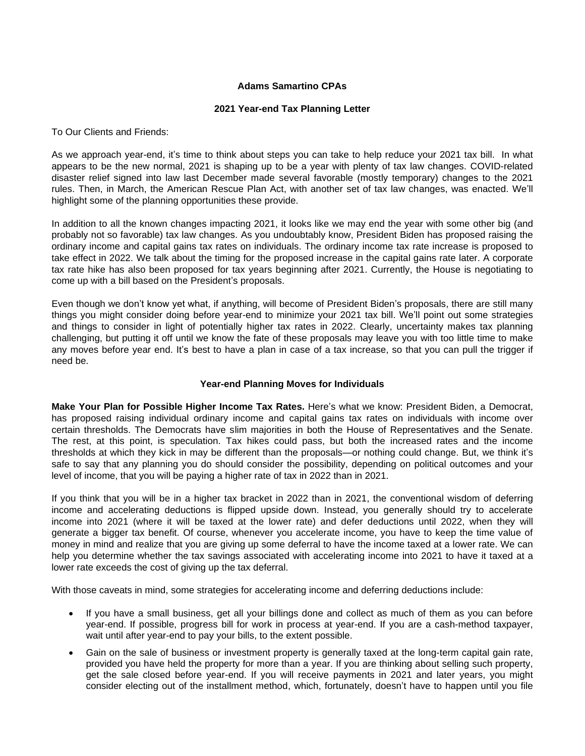## **Adams Samartino CPAs**

#### **2021 Year-end Tax Planning Letter**

To Our Clients and Friends:

As we approach year-end, it's time to think about steps you can take to help reduce your 2021 tax bill. In what appears to be the new normal, 2021 is shaping up to be a year with plenty of tax law changes. COVID-related disaster relief signed into law last December made several favorable (mostly temporary) changes to the 2021 rules. Then, in March, the American Rescue Plan Act, with another set of tax law changes, was enacted. We'll highlight some of the planning opportunities these provide.

In addition to all the known changes impacting 2021, it looks like we may end the year with some other big (and probably not so favorable) tax law changes. As you undoubtably know, President Biden has proposed raising the ordinary income and capital gains tax rates on individuals. The ordinary income tax rate increase is proposed to take effect in 2022. We talk about the timing for the proposed increase in the capital gains rate later. A corporate tax rate hike has also been proposed for tax years beginning after 2021. Currently, the House is negotiating to come up with a bill based on the President's proposals.

Even though we don't know yet what, if anything, will become of President Biden's proposals, there are still many things you might consider doing before year-end to minimize your 2021 tax bill. We'll point out some strategies and things to consider in light of potentially higher tax rates in 2022. Clearly, uncertainty makes tax planning challenging, but putting it off until we know the fate of these proposals may leave you with too little time to make any moves before year end. It's best to have a plan in case of a tax increase, so that you can pull the trigger if need be.

#### **Year-end Planning Moves for Individuals**

**Make Your Plan for Possible Higher Income Tax Rates.** Here's what we know: President Biden, a Democrat, has proposed raising individual ordinary income and capital gains tax rates on individuals with income over certain thresholds. The Democrats have slim majorities in both the House of Representatives and the Senate. The rest, at this point, is speculation. Tax hikes could pass, but both the increased rates and the income thresholds at which they kick in may be different than the proposals—or nothing could change. But, we think it's safe to say that any planning you do should consider the possibility, depending on political outcomes and your level of income, that you will be paying a higher rate of tax in 2022 than in 2021.

If you think that you will be in a higher tax bracket in 2022 than in 2021, the conventional wisdom of deferring income and accelerating deductions is flipped upside down. Instead, you generally should try to accelerate income into 2021 (where it will be taxed at the lower rate) and defer deductions until 2022, when they will generate a bigger tax benefit. Of course, whenever you accelerate income, you have to keep the time value of money in mind and realize that you are giving up some deferral to have the income taxed at a lower rate. We can help you determine whether the tax savings associated with accelerating income into 2021 to have it taxed at a lower rate exceeds the cost of giving up the tax deferral.

With those caveats in mind, some strategies for accelerating income and deferring deductions include:

- If you have a small business, get all your billings done and collect as much of them as you can before year-end. If possible, progress bill for work in process at year-end. If you are a cash-method taxpayer, wait until after year-end to pay your bills, to the extent possible.
- Gain on the sale of business or investment property is generally taxed at the long-term capital gain rate, provided you have held the property for more than a year. If you are thinking about selling such property, get the sale closed before year-end. If you will receive payments in 2021 and later years, you might consider electing out of the installment method, which, fortunately, doesn't have to happen until you file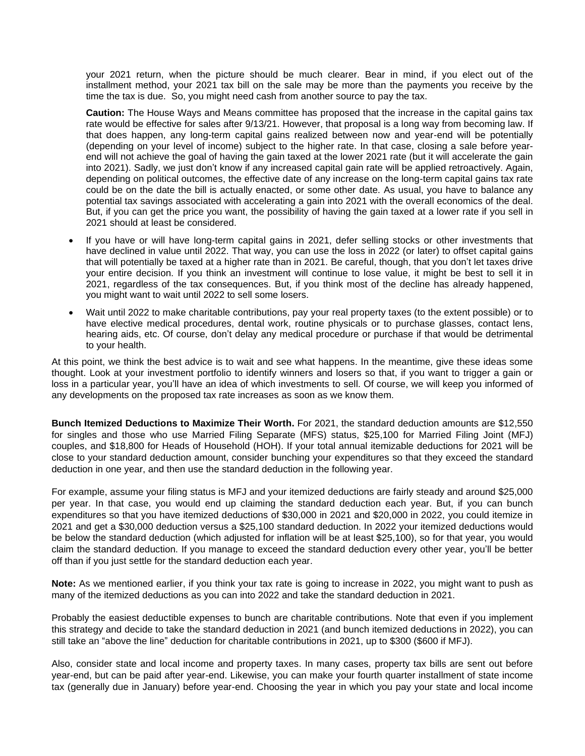your 2021 return, when the picture should be much clearer. Bear in mind, if you elect out of the installment method, your 2021 tax bill on the sale may be more than the payments you receive by the time the tax is due. So, you might need cash from another source to pay the tax.

**Caution:** The House Ways and Means committee has proposed that the increase in the capital gains tax rate would be effective for sales after 9/13/21. However, that proposal is a long way from becoming law. If that does happen, any long-term capital gains realized between now and year-end will be potentially (depending on your level of income) subject to the higher rate. In that case, closing a sale before yearend will not achieve the goal of having the gain taxed at the lower 2021 rate (but it will accelerate the gain into 2021). Sadly, we just don't know if any increased capital gain rate will be applied retroactively. Again, depending on political outcomes, the effective date of any increase on the long-term capital gains tax rate could be on the date the bill is actually enacted, or some other date. As usual, you have to balance any potential tax savings associated with accelerating a gain into 2021 with the overall economics of the deal. But, if you can get the price you want, the possibility of having the gain taxed at a lower rate if you sell in 2021 should at least be considered.

- If you have or will have long-term capital gains in 2021, defer selling stocks or other investments that have declined in value until 2022. That way, you can use the loss in 2022 (or later) to offset capital gains that will potentially be taxed at a higher rate than in 2021. Be careful, though, that you don't let taxes drive your entire decision. If you think an investment will continue to lose value, it might be best to sell it in 2021, regardless of the tax consequences. But, if you think most of the decline has already happened, you might want to wait until 2022 to sell some losers.
- Wait until 2022 to make charitable contributions, pay your real property taxes (to the extent possible) or to have elective medical procedures, dental work, routine physicals or to purchase glasses, contact lens, hearing aids, etc. Of course, don't delay any medical procedure or purchase if that would be detrimental to your health.

At this point, we think the best advice is to wait and see what happens. In the meantime, give these ideas some thought. Look at your investment portfolio to identify winners and losers so that, if you want to trigger a gain or loss in a particular year, you'll have an idea of which investments to sell. Of course, we will keep you informed of any developments on the proposed tax rate increases as soon as we know them.

**Bunch Itemized Deductions to Maximize Their Worth.** For 2021, the standard deduction amounts are \$12,550 for singles and those who use Married Filing Separate (MFS) status, \$25,100 for Married Filing Joint (MFJ) couples, and \$18,800 for Heads of Household (HOH). If your total annual itemizable deductions for 2021 will be close to your standard deduction amount, consider bunching your expenditures so that they exceed the standard deduction in one year, and then use the standard deduction in the following year.

For example, assume your filing status is MFJ and your itemized deductions are fairly steady and around \$25,000 per year. In that case, you would end up claiming the standard deduction each year. But, if you can bunch expenditures so that you have itemized deductions of \$30,000 in 2021 and \$20,000 in 2022, you could itemize in 2021 and get a \$30,000 deduction versus a \$25,100 standard deduction. In 2022 your itemized deductions would be below the standard deduction (which adjusted for inflation will be at least \$25,100), so for that year, you would claim the standard deduction. If you manage to exceed the standard deduction every other year, you'll be better off than if you just settle for the standard deduction each year.

**Note:** As we mentioned earlier, if you think your tax rate is going to increase in 2022, you might want to push as many of the itemized deductions as you can into 2022 and take the standard deduction in 2021.

Probably the easiest deductible expenses to bunch are charitable contributions. Note that even if you implement this strategy and decide to take the standard deduction in 2021 (and bunch itemized deductions in 2022), you can still take an "above the line" deduction for charitable contributions in 2021, up to \$300 (\$600 if MFJ).

Also, consider state and local income and property taxes. In many cases, property tax bills are sent out before year-end, but can be paid after year-end. Likewise, you can make your fourth quarter installment of state income tax (generally due in January) before year-end. Choosing the year in which you pay your state and local income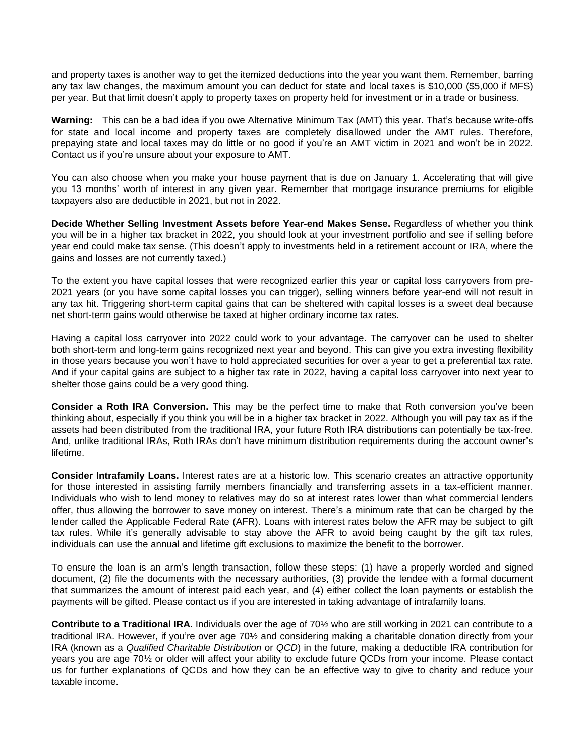and property taxes is another way to get the itemized deductions into the year you want them. Remember, barring any tax law changes, the maximum amount you can deduct for state and local taxes is \$10,000 (\$5,000 if MFS) per year. But that limit doesn't apply to property taxes on property held for investment or in a trade or business.

**Warning:** This can be a bad idea if you owe Alternative Minimum Tax (AMT) this year. That's because write-offs for state and local income and property taxes are completely disallowed under the AMT rules. Therefore, prepaying state and local taxes may do little or no good if you're an AMT victim in 2021 and won't be in 2022. Contact us if you're unsure about your exposure to AMT.

You can also choose when you make your house payment that is due on January 1. Accelerating that will give you 13 months' worth of interest in any given year. Remember that mortgage insurance premiums for eligible taxpayers also are deductible in 2021, but not in 2022.

**Decide Whether Selling Investment Assets before Year-end Makes Sense.** Regardless of whether you think you will be in a higher tax bracket in 2022, you should look at your investment portfolio and see if selling before year end could make tax sense. (This doesn't apply to investments held in a retirement account or IRA, where the gains and losses are not currently taxed.)

To the extent you have capital losses that were recognized earlier this year or capital loss carryovers from pre-2021 years (or you have some capital losses you can trigger), selling winners before year-end will not result in any tax hit. Triggering short-term capital gains that can be sheltered with capital losses is a sweet deal because net short-term gains would otherwise be taxed at higher ordinary income tax rates.

Having a capital loss carryover into 2022 could work to your advantage. The carryover can be used to shelter both short-term and long-term gains recognized next year and beyond. This can give you extra investing flexibility in those years because you won't have to hold appreciated securities for over a year to get a preferential tax rate. And if your capital gains are subject to a higher tax rate in 2022, having a capital loss carryover into next year to shelter those gains could be a very good thing.

**Consider a Roth IRA Conversion.** This may be the perfect time to make that Roth conversion you've been thinking about, especially if you think you will be in a higher tax bracket in 2022. Although you will pay tax as if the assets had been distributed from the traditional IRA, your future Roth IRA distributions can potentially be tax-free. And, unlike traditional IRAs, Roth IRAs don't have minimum distribution requirements during the account owner's lifetime.

**Consider Intrafamily Loans.** Interest rates are at a historic low. This scenario creates an attractive opportunity for those interested in assisting family members financially and transferring assets in a tax-efficient manner. Individuals who wish to lend money to relatives may do so at interest rates lower than what commercial lenders offer, thus allowing the borrower to save money on interest. There's a minimum rate that can be charged by the lender called the Applicable Federal Rate (AFR). Loans with interest rates below the AFR may be subject to gift tax rules. While it's generally advisable to stay above the AFR to avoid being caught by the gift tax rules, individuals can use the annual and lifetime gift exclusions to maximize the benefit to the borrower.

To ensure the loan is an arm's length transaction, follow these steps: (1) have a properly worded and signed document, (2) file the documents with the necessary authorities, (3) provide the lendee with a formal document that summarizes the amount of interest paid each year, and (4) either collect the loan payments or establish the payments will be gifted. Please contact us if you are interested in taking advantage of intrafamily loans.

**Contribute to a Traditional IRA**. Individuals over the age of 70½ who are still working in 2021 can contribute to a traditional IRA. However, if you're over age 70½ and considering making a charitable donation directly from your IRA (known as a *Qualified Charitable Distribution* or *QCD*) in the future, making a deductible IRA contribution for years you are age 70½ or older will affect your ability to exclude future QCDs from your income. Please contact us for further explanations of QCDs and how they can be an effective way to give to charity and reduce your taxable income.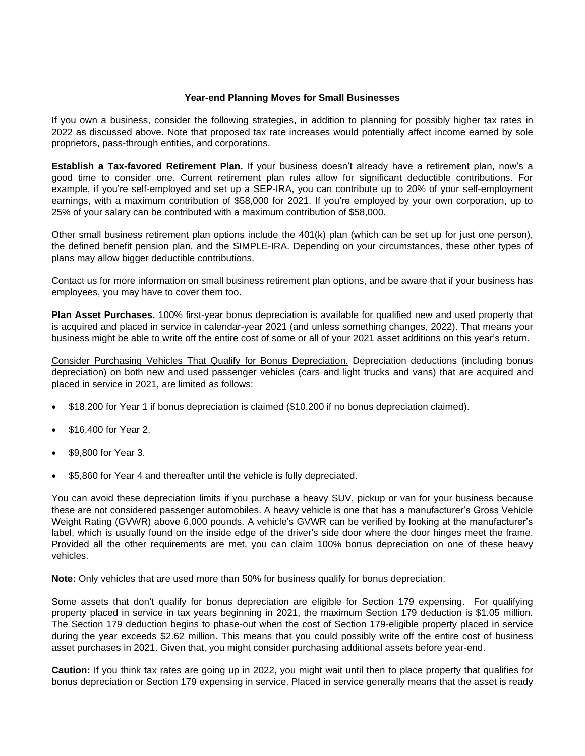#### **Year-end Planning Moves for Small Businesses**

If you own a business, consider the following strategies, in addition to planning for possibly higher tax rates in 2022 as discussed above. Note that proposed tax rate increases would potentially affect income earned by sole proprietors, pass-through entities, and corporations.

**Establish a Tax-favored Retirement Plan.** If your business doesn't already have a retirement plan, now's a good time to consider one. Current retirement plan rules allow for significant deductible contributions. For example, if you're self-employed and set up a SEP-IRA, you can contribute up to 20% of your self-employment earnings, with a maximum contribution of \$58,000 for 2021. If you're employed by your own corporation, up to 25% of your salary can be contributed with a maximum contribution of \$58,000.

Other small business retirement plan options include the 401(k) plan (which can be set up for just one person), the defined benefit pension plan, and the SIMPLE-IRA. Depending on your circumstances, these other types of plans may allow bigger deductible contributions.

Contact us for more information on small business retirement plan options, and be aware that if your business has employees, you may have to cover them too.

**Plan Asset Purchases.** 100% first-year bonus depreciation is available for qualified new and used property that is acquired and placed in service in calendar-year 2021 (and unless something changes, 2022). That means your business might be able to write off the entire cost of some or all of your 2021 asset additions on this year's return.

Consider Purchasing Vehicles That Qualify for Bonus Depreciation. Depreciation deductions (including bonus depreciation) on both new and used passenger vehicles (cars and light trucks and vans) that are acquired and placed in service in 2021, are limited as follows:

- \$18,200 for Year 1 if bonus depreciation is claimed (\$10,200 if no bonus depreciation claimed).
- \$16,400 for Year 2.
- \$9,800 for Year 3.
- \$5,860 for Year 4 and thereafter until the vehicle is fully depreciated.

You can avoid these depreciation limits if you purchase a heavy SUV, pickup or van for your business because these are not considered passenger automobiles. A heavy vehicle is one that has a manufacturer's Gross Vehicle Weight Rating (GVWR) above 6,000 pounds. A vehicle's GVWR can be verified by looking at the manufacturer's label, which is usually found on the inside edge of the driver's side door where the door hinges meet the frame. Provided all the other requirements are met, you can claim 100% bonus depreciation on one of these heavy vehicles.

**Note:** Only vehicles that are used more than 50% for business qualify for bonus depreciation.

Some assets that don't qualify for bonus depreciation are eligible for Section 179 expensing. For qualifying property placed in service in tax years beginning in 2021, the maximum Section 179 deduction is \$1.05 million. The Section 179 deduction begins to phase-out when the cost of Section 179-eligible property placed in service during the year exceeds \$2.62 million. This means that you could possibly write off the entire cost of business asset purchases in 2021. Given that, you might consider purchasing additional assets before year-end.

**Caution:** If you think tax rates are going up in 2022, you might wait until then to place property that qualifies for bonus depreciation or Section 179 expensing in service. Placed in service generally means that the asset is ready